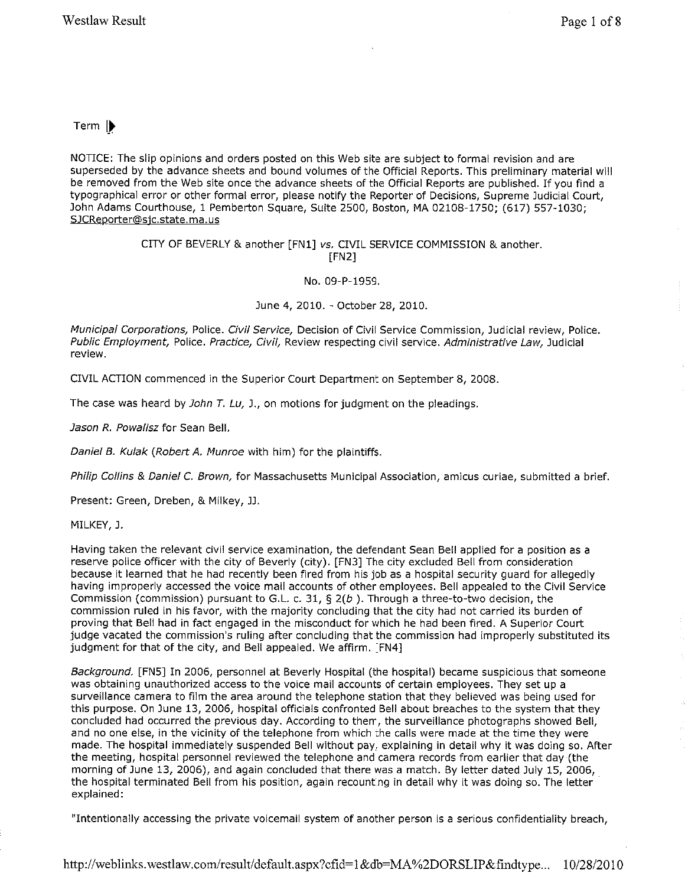## Term |

NOTICE: The slip opinions and orders posted on this Web site are subject to formal revision and are superseded by the advance sheets and bound volumes of the Official Reports. This preliminary material will be removed from the Web site once the advance sheets of the Official Reports are published. If you find a typographical error or other formal error, please notify the Reporter of Decisions, Supreme Judicial Court, John Adams Courthouse, 1 Pemberton Square, Suite 2500, Boston, MA 02108-1750; (617) 557-1030; SJCReporter@sjc. state. ma.us

## CITY OF BEVERLY & another [FN1] vs. CIVIL SERVICE COMMISSION & another. [FN2]

No. 09-P-1959.

June 4, 2010. - October 28, 2010.

Municipal Corporations, Police. Civil Service, Decision of Civil Service Commission, Judicial review, Police. Public Employment, Police. Practice, Civil, Review respecting civil service. Administrative Law, Judicial **review.** 

CIVIL ACTION commenced in the Superior Court Department on September 8, 2008.

The case was heard by *John T. Lu, J.,* on motions for judgment on the pleadings.

Jason R. Powalisz for Sean Bell.

Daniel B. Kulak (Robert A. Munroe with him) for the plaintiffs.

Philip Collins & Daniel C. Brown, for Massachusetts Municipal Association, amicus curiae, submitted a brief.

Present: Green, Dreben, & Milkey, JJ.

MILKEY, J.

Having taken the relevant civil service examination, the defendant Sean Bell applied for a position as a reserve police officer with the city of Beverly (city). [FN3] The city excluded Bell from consideration because it learned that he had recently been fired from his job as a hospital security guard for allegedly having improperly accessed the voice mail accounts of other employees. Bell appealed to the Civil Service Commission (commission) pursuant to G.L. c. 31,  $\Sigma(2b)$ . Through a three-to-two decision, the commission ruled in his favor, with the majority concluding that the city had not carried its burden of proving that Bell had in fact engaged in the misconduct for which he had been fired. A Superior Court judge vacated the commission's ruling after concluding that the commission had improperly substituted its judgment for that of the city, and Bell appealed. We affirm. [FN4]

Background. [FN5] In 2006, personnel at Beverly Hospital (the hospital) became suspicious that someone was obtaining unauthorized access to the voice mail accounts of certain employees. They set up a surveillance camera to film the area around the telephone station that they believed was being used for this purpose. On June 13, 2006, hospital officials confronted Bell about breaches to the system that they concluded had occurred the previous day. According to them, the surveillance photographs showed Bell, and no one else, in the vicinity of the telephone from which the calls were made at the time they were made. The hospital immediately suspended Bell without pay, explaining in detail why it was doing so. After the meeting, hospital personnel reviewed the telephone and camera records from earlier that day (the morning of June 13, 2006), and again concluded that there was a match. By letter dated July 15, 2006, the hospital terminated Bell from his position, again recounting in detail why it was doing so. The letter explained:

"Intentionally accessing the private voicemail system of another person is a serious confidentiality breach,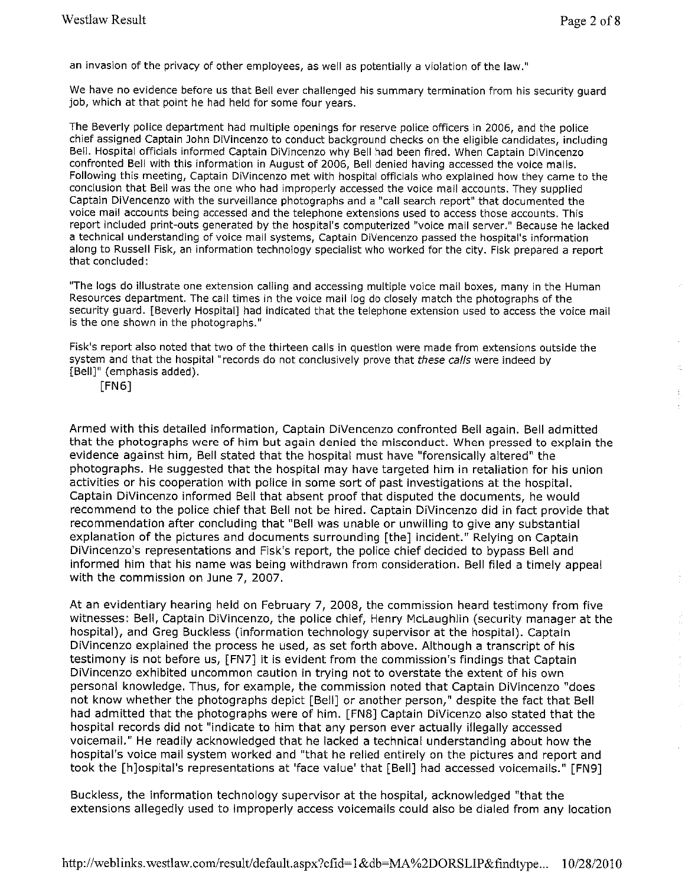an invasion of the privacy of other employees, as well as potentially a violation of the law."

We have no evidence before us that Bell ever challenged his summary termination from his security guard job, which at that point he had held for some four years.

The Beverly police department had multiple openings for reserve police officers in 2006, and the police chief assigned Captain John DiVincenzo to conduct background checks on the eligible candidates, including Bell. Hospital officials informed Captain DiVincenzo why Bell had been fired, When Captain DiVincenzo confronted Bell with this information in August of 2006, Bell denied having accessed the voice mails, Following this meeting, Captain DiVincenzo met with hospital officials who explained how they came to the conclusion that Bell was the one who had improperly accessed the voice mail accounts. They supplied Captain DiVencenzo with the surveillance photographs and a "call search report" that documented the voice mail accounts being accessed and the telephone extensions used to access those accounts. This report included print-outs generated by the hospital's computerized "voice mail server." Because he lacked a technical understanding of voice mail systems, Captain DiVencenzo passed the hospital's information along to Russell Fisk, an information technology specialist who worked for the city. Fisk prepared a report that concluded;

"The logs do illustrate one extension calling and accessing multiple voice mail boxes, many in the Human Resources department. The call times in the voice mail log do closely match the photographs of the security guard. [Beverly Hospital] had indicated that the telephone extension used to access the voice mail is the one shown in the photographs."

Fisk's report also noted that two of the thirteen calls in question were made from extensions outside the system and that the hospital "records do not conclusively prove that these calls were indeed by [Bell]" (emphasis added),

[FN6]

Armed with this detailed information, Captain DiVencenzo confronted Bell again, Bell admitted that the photographs were of him but again denied the misconduct, When pressed to explain the evidence against him, Bell stated that the hospital must have "forensically altered" the photographs. He suggested that the hospital may have targeted him in retaliation for his union activities or his cooperation with police in some sort of past investigations at the hospital. Captain DiVincenzo informed Bell that absent proof that disputed the documents, he would recommend to the police chief that Bell not be hired. Captain DiVincenzo did in fact provide that recommendation after concluding that "Bell was unable or unwilling to give any substantial explanation of the pictures and documents surrounding [the] incident." Relying on Captain DiVincenzo's representations and Fisk's report, the police chief decided to bypass Bell and informed him that his name was being withdrawn from consideration. Bell filed a timely appeal with the commission on June 7, 2007,

At an evidentiary hearing held on February 7, 2008, the commission heard testimony from five witnesses: Bell, Captain DiVincenzo, the police chief, Henry McLaughlin (security manager at the hospital), and Greg Buckless (information technology supervisor at the hospital). Captain DiVincenzo explained the process he used, as set forth above. Although a transcript of his testimony is not before us, [FN7] it is evident from the commission's findings that Captain DiVincenzo exhibited uncommon caution in trying not to overstate the extent of his own personal knowledge, Thus, for example, the commission noted that Captain DiVincenzo "does not know whether the photographs depict [Bell] or another person," despite the fact that Bell had admitted that the photographs were of him. [FNS] Captain DiVicenzo also stated that the hospital records did not "indicate to him that any person ever actually illegally accessed voicemail." He readily acknowledged that he lacked a technical understanding about how the hospital's voice mail system worked and "that he relied entirely on the pictures and report and took the [h]ospital's representations at 'face value' that [Bell] had accessed voicemails." [FN9]

Buckless, the information technology supervisor at the hospital, acknowledged "that the extensions allegedly used to improperly access voicemails could also be dialed from any location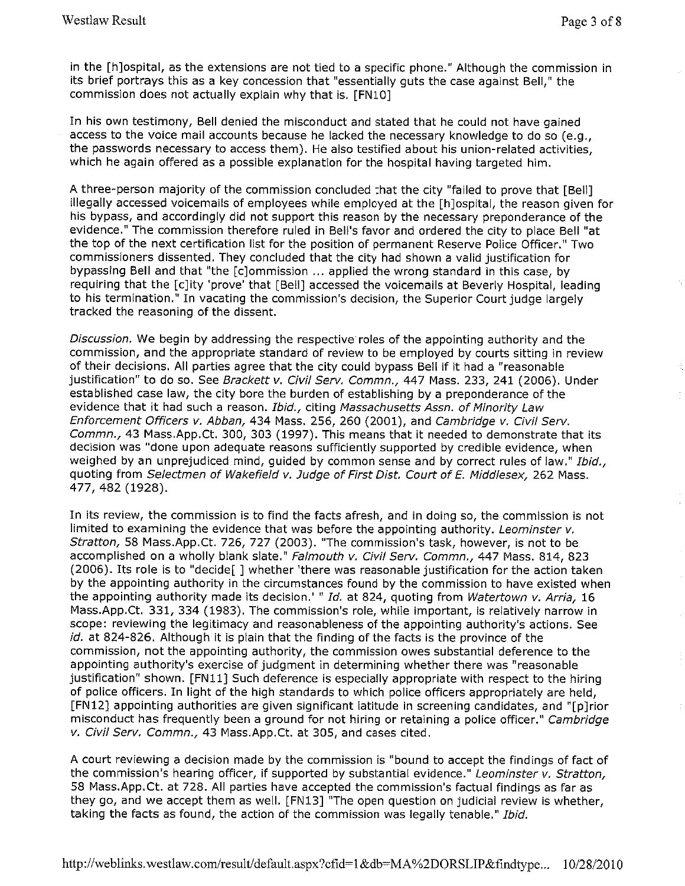in the [h]ospital, as the extensions are not tied to a specific phone." Although the commission in its brief portrays this as a key concession that "essentially guts the case against Bell," the commission does not actually explain why that is. [FNl0]

In his own testimony, Bell denied the misconduct and stated that he could not have gained access to the voice mail accounts because he lacked the necessary knowledge to do so (e.g., the passwords necessary to access them). He also testified about his union-related activities, which he again offered as a possible explanation for the hospital having targeted him.

A three-person majority of the commission concluded that the city "failed to prove that [Bell] illegally accessed voicemails of employees while employed at the [h]ospital, the reason given for his bypass, and accordingly did not support this reason by the necessary preponderance of the evidence." The commission therefore ruled in Bell's favor and ordered the city to place Bell "at the top of the next certification list for the position of permanent Reserve Police Officer." Two commissioners dissented. They concluded that the city had shown a valid justification for bypassing Bell and that "the [c]ommission ... applied the wrong standard in this case, by requiring that the [c]ity 'prove' that [Bell] accessed the voicemails at Beverly Hospital, leading to his termination." In vacating the commission's decision, the Superior Court judge largely tracked the reasoning of the dissent.

Discussion. We begin by addressing the respective roles of the appointing authority and the commission, and the appropriate standard of review to be employed by courts sitting in review of their decisions. All parties agree that the city could bypass Bell if it had a "reasonable justification" to do so. See Brackett v. Civil Serv. Commn., 447 Mass. 233, 241 (2006). Under established case law, the city bore the burden of establishing by a preponderance of the evidence that it had such a reason. Ibid., citing Massachusetts Assn. of Minority Law Enforcement Officers v. Abban, 434 Mass. 256, 260 (2001), and Cambridge v. Civil Serv. Commn., 43 Mass.App.Ct. 300, 303 (1997). This means that it needed to demonstrate that its decision was "done upon adequate reasons sufficiently supported by credible evidence, when weighed by an unprejudiced mind, guided by common sense and by correct rules of law." Ibid., quoting from Selectmen of Wakefield *v.* Judge of First Dist. Court of E. Middlesex, 262 Mass. 477, 482 (1928).

In its review, the commission is to find the facts afresh, and in doing so, the commission is not limited to examining the evidence that was before the appointing authority. Leominster v. Stratton, 58 Mass.App.Ct. 726, 727 (2003). "The commission's task, however, is not to be accomplished on a wholly blank slate." Falmouth v. Civil Serv. Commn., 447 Mass. 814, 823 (2006). Its role is to "decide[ ] whether 'there was reasonable justification for the action taken by the appointing authority in the circumstances found by the commission to have existed when the appointing authority made its decision.' " Id. at 824, quoting from Watertown v. Arria, 16 Mass.App.Ct. 331, 334 (1983). The commission's role, while important, is relatively narrow in scope: reviewing the legitimacy and reasonableness of the appointing authority's actions. See id. at 824-826. Although it is plain that the finding of the facts is the province of the commission, not the appointing authority, the commission owes substantial deference to the appointing authority's exercise of judgment in determining whether there was "reasonable justification" shown. [FNll] Such deference is especially appropriate with respect to the hiring of police officers. In light of the high standards to which police officers appropriately are held, [FN12] appointing authorities are given significant latitude in screening candidates, and "[p]rior misconduct has frequently been a ground for not hiring or retaining a police officer." Cambridge v. Civil Serv. Commn., 43 Mass.App.Ct. at 305, and cases cited.

A court reviewing a decision made by the commission is "bound to accept the findings of fact of the commission's hearing officer, if supported by substantial evidence." Leominster v. Stratton, 58 Mass.App.Ct. at 728. All parties have accepted the commission's factual findings as far as they go, and we accept them as well. [FN13] "The open question on judicial review is whether, taking the facts as found, the action of the commission was legally tenable." Ibid.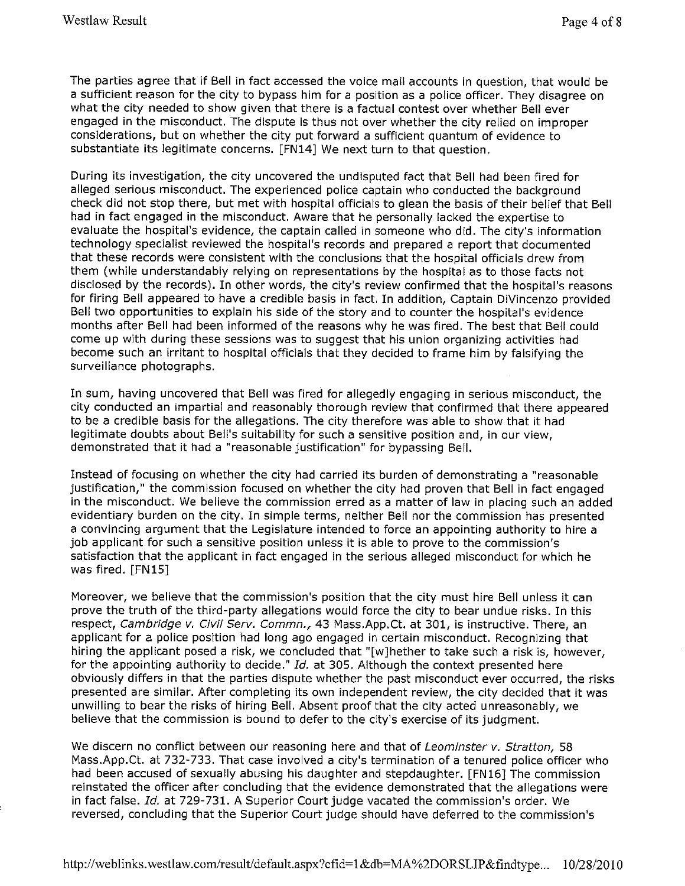The parties agree that if Bell in fact accessed the voice mail accounts in question, that would be a sufficient reason for the city to bypass him for a position as a police officer. They disagree on what the city needed to show given that there is a factual contest over whether Bell ever engaged in the misconduct. The dispute is thus not over whether the city relied on improper considerations, but on whether the city put forward a sufficient quantum of evidence to substantiate its legitimate concerns. [FN14] We next turn to that question.

During its investigation, the city uncovered the undisputed fact that Bell had been fired for alleged serious misconduct. The experienced police captain who conducted the background check did not stop there, but met with hospital officials to glean the basis of their belief that Bell had in fact engaged in the misconduct. Aware that he personally lacked the expertise to evaluate the hospital's evidence, the captain called in someone who did. The city's information technology specialist reviewed the hospital's records and prepared a report that documented that these records were consistent with the conclusions that the hospital officials drew from them (while understandably relying on representations by the hospital as to those facts not disclosed by the records). In other words, the city's review confirmed that the hospital's reasons for firing Bell appeared to have a credible basis in fact. In addition, Captain DiVincenzo provided Bell two opportunities to explain his side of the story and to counter the hospital's evidence months after Bell had been informed of the reasons why he was fired. The best that Bell could come up with during these sessions was to suggest that his union organizing activities had become such an irritant to hospital officials that they decided to frame him by falsifying the surveillance photographs.

In sum, having uncovered that Bell was fired for allegedly engaging in serious misconduct, the city conducted an impartial and reasonably thorough review that confirmed that there appeared to be a credible basis for the allegations. The city therefore was able to show that it had legitimate doubts about Bell's suitability for such a sensitive position and, in our view, demonstrated that it had a "reasonable justification" for bypassing Bell.

Instead of focusing on whether the city had carried its burden of demonstrating a "reasonable justification," the commission focused on whether the city had proven that Bell in fact engaged in the misconduct. We believe the commission erred as a matter of law in placing such an added evidentiary burden on the city. In simple terms, neither Bell nor the commission has presented a convincing argument that the Legislature intended to force an appointing authority to hire a job applicant for such a sensitive position unless it is able to prove to the commission's satisfaction that the applicant in fact engaged in the serious alleged misconduct for which he was fired. [FN15]

Moreover, we believe that the commission's position that the city must hire Bell unless it can prove the truth of the third-party allegations would force the city to bear undue risks. In this respect, Cambridge v. Civil Serv. Commn., 43 Mass.App.Ct. at 301, is instructive. There, an applicant for a police position had long ago engaged in certain misconduct. Recognizing that hiring the applicant posed a risk, we concluded that "[w]hether to take such a risk is, however, for the appointing authority to decide." *Id.* at 305. Although the context presented here obviously differs in that the parties dispute whether the past misconduct ever occurred, the risks presented are similar. After completing its own independent review, the city decided that it was unwilling to bear the risks of hiring Bell. Absent proof that the city acted unreasonably, we believe that the commission is bound to defer to the city's exercise of its judgment.

We discern no conflict between our reasoning here and that of Leominster v. Stratton, 58 Mass.App.Ct. at 732-733. That case involved a city's termination of a tenured police officer who had been accused of sexually abusing his daughter and stepdaughter. [FN 16] The commission reinstated the officer after concluding that the evidence demonstrated that the allegations were in fact false. *Id.* at 729-731. A Superior Court judge vacated the commission's order. We reversed, concluding that the Superior Court judge should have deferred to the commission's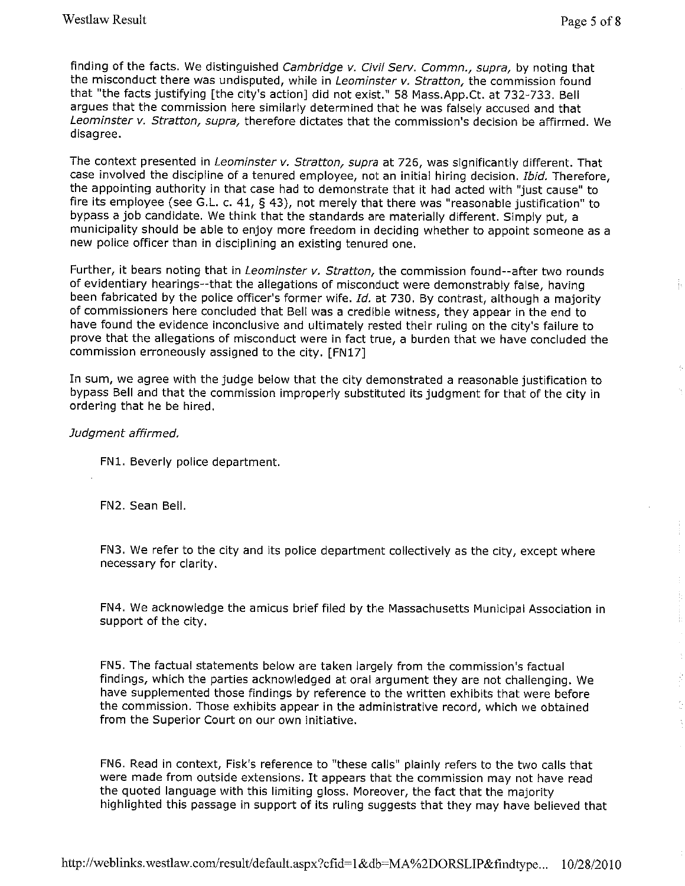Þ

finding of the facts. We distinguished Cambridge v. Civil Serv. Commn., supra, by noting that the misconduct there was undisputed, while in Leominster v. Stratton, the commission found that "the facts justifying [the city's action] did not exist." 58 Mass.App.Ct. at 732-733. Bell argues that the commission here similarly determined that he was falsely accused and that Leominster v. Stratton, supra, therefore dictates that the commission's decision be affirmed. We disagree.

The context presented in Leominster v. Stratton, supra at 726, was significantly different. That case involved the discipline of a tenured employee, not an initial hiring decision. Ibid. Therefore, the appointing authority in that case had to demonstrate that it had acted with "just cause" to fire its employee (see G.L. c. 41, § 43), not merely that there was "reasonable justification" to bypass a job candidate. We think that the standards are materially different. Simply put, a municipality should be able to enjoy more freedom in deciding whether to appoint someone as a new police officer than in disciplining an existing tenured one.

Further, it bears noting that in Leominster v. Stratton, the commission found--after two rounds of evidentiary hearings--that the allegations of misconduct were demonstrably false, having been fabricated by the police officer's former wife. Id. at 730. By contrast, although a majority of commissioners here concluded that Bell was a credible witness, they appear in the end to have found the evidence inconclusive and ultimately rested their ruling on the city's failure to prove that the allegations of misconduct were in fact true, a burden that we have concluded the commission erroneously assigned to the city. [FN17]

In sum, we agree with the judge below that the city demonstrated a reasonable justification to bypass Bell and that the commission improperly substituted its judgment for that of the city in ordering that he be hired.

## Judgment affirmed.

FNl. Beverly police department.

FN2. Sean Bell.

FN3. We refer to the city and its police department collectively as the city, except where necessary for clarity.

FN4. We acknowledge the amicus brief filed by the Massachusetts Municipal Association in support of the city.

FNS. The factual statements below are taken largely from the commission's factual findings, which the parties acknowledged at oral argument they are not challenging. We have supplemented those findings by reference to the written exhibits that were before the commission. Those exhibits appear in the administrative record, which we obtained from the Superior Court on our own initiative.

FN6. Read in context, Fisk's reference to "these calls" plainly refers to the two calls that were made from outside extensions. It appears that the commission may not have read the quoted language with this limiting gloss. Moreover, the fact that the majority highlighted this passage in support of its ruling suggests that they may have believed that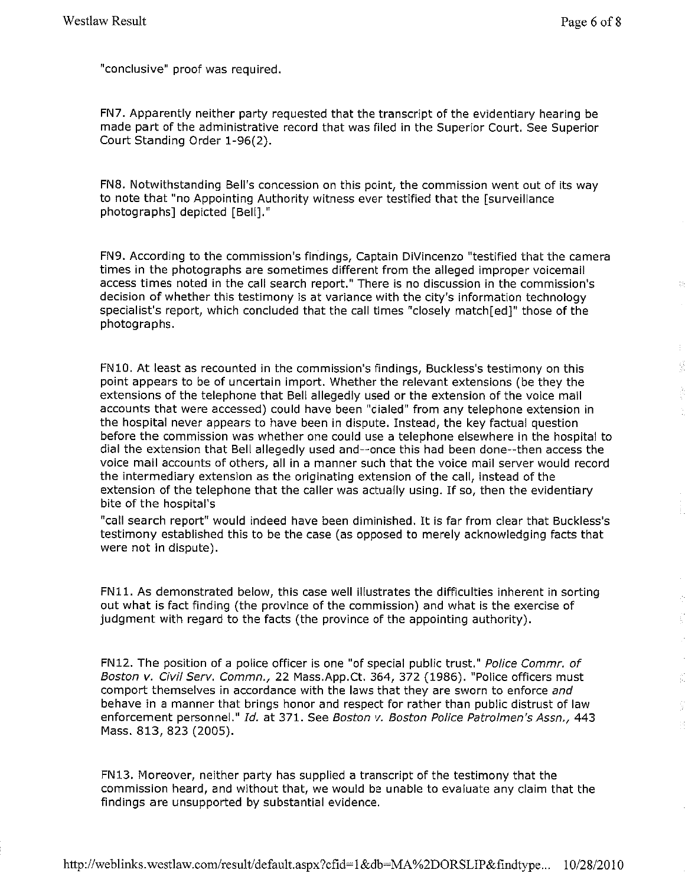"conclusive" proof was required.

FN7. Apparently neither party requested that the transcript of the evidentiary hearing be made part of the administrative record that was filed in the Superior Court. See Superior Court Standing Order 1-96(2).

FN8. Notwithstanding Bell's concession on this point, the commission went out of its way to note that "no Appointing Authority witness ever testified that the [surveillance photographs] depicted [Bell]."

FN9. According to the commission's findings, Captain DiVincenzo "testified that the camera times in the photographs are sometimes different from the alleged improper voicemail access times noted in the call search report." There is no discussion in the commission's decision of whether this testimony is at variance with the city's information technology specialist's report, which concluded that the call times "closely match[ed]" those of the photographs.

FN 10. At least as recounted in the commission's findings, Buckless's testimony on this point appears to be of uncertain import. Whether the relevant extensions (be they the extensions of the telephone that Bell allegedly used or the extension of the voice mail accounts that were accessed) could have been "dialed" from any telephone extension in the hospital never appears to have been in dispute. Instead, the key factual question before the commission was whether one could use a telephone elsewhere in the hospital to dial the extension that Bell allegedly used and--once this had been done--then access the voice mail accounts of others, all in a manner such that the voice mail server would record the intermediary extension as the originating extension of the call, instead of the extension of the telephone that the caller was actually using. If so, then the evidentiary bite of the hospital's

"call search report" would indeed have been diminished. It is far from clear that Buckless's testimony established this to be the case (as opposed to merely acknowledging facts that were not in dispute).

FNll. As demonstrated below, this case well illustrates the difficulties inherent in sorting out what is fact finding (the province of the commission) and what is the exercise of judgment with regard to the facts (the province of the appointing authority).

FN12. The position of a police officer is one "of special public trust." Police Commr. of Boston v. Civil Serv. Commn., 22 Mass.App.Ct. 364, 372 (1986). "Police officers must comport themselves in accordance with the laws that they are sworn to enforce and behave in a manner that brings honor and respect for rather than public distrust of law enforcement personnel." Id. at 371. See Boston v. Boston Police Patrolmen's Assn., 443 Mass. 813, 823 (2005).

FN13. Moreover, neither party has supplied a transcript of the testimony that the commission heard, and without that, we would be unable to evaluate any claim that the findings are unsupported by substantial evidence.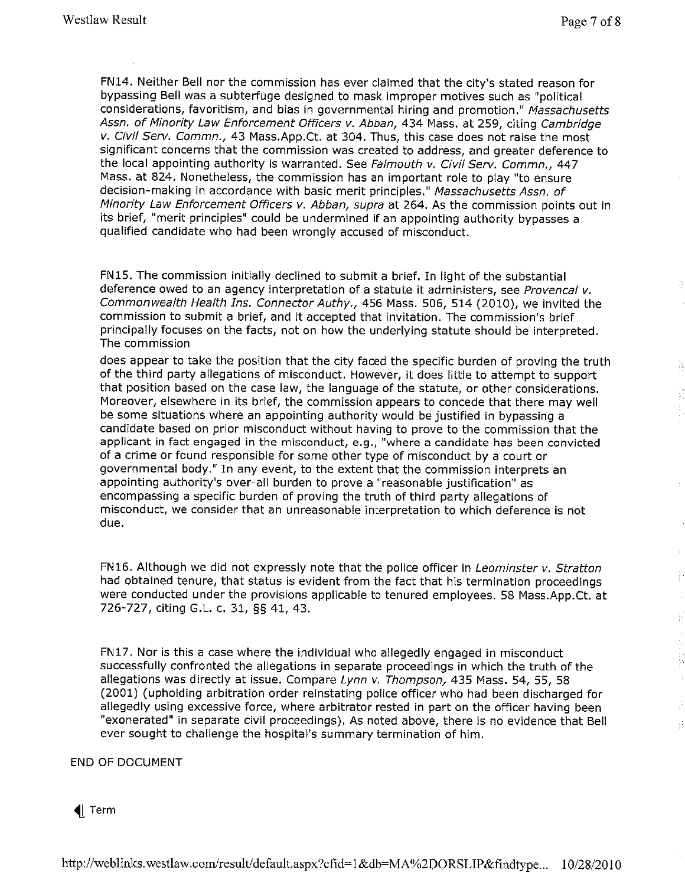FN14. Neither Bell nor the commission has ever claimed that the city's stated reason for bypassing Bell was a subterfuge designed to mask improper motives such as "political considerations, favoritism, and bias in governmental hiring and promotion." Massachusetts Assn. of Minority Law Enforcement Officers v. Abban, 434 Mass. at 259, citing Cambridge v. Civil Serv. Commn., 43 Mass.App.Ct. at 304. Thus, this case does not raise the most significant concerns that the commission was created to address, and greater deference to the local appointing authority is warranted. See Falmouth v. Civil Serv. Commn., 447 Mass. at 824. Nonetheless, the commission has an important role to play "to ensure decision-making in accordance with basic merit principles." Massachusetts Assn. of Minority Law Enforcement Officers v. Abban, supra at 264. As the commission points out in its brief, "merit principles" could be undermined if an appointing authority bypasses a qualified candidate who had been wrongly accused of misconduct.

FN15. The commission initially declined to submit a brief. In light of the substantial deference owed to an agency interpretation of a statute it administers, see Provencal v. Commonwealth Health Ins. Connector Authy., 456 Mass. 506, 514 (2010), we invited the commission to submit a brief, and it accepted that invitation. The commission's brief principally focuses on the facts, not on how the underlying statute should be interpreted. The commission

does appear to take the position that the city faced the specific burden of proving the truth of the third party allegations of misconduct. However, it does little to attempt to support that position based on the case law, the language of the statute, or other considerations. Moreover, elsewhere in its brief, the commission appears to concede that there may well be some situations where an appointing authority would be justified in bypassing a candidate based on prior misconduct without having to prove to the commission that the applicant in fact engaged in the misconduct, e.g., "where a candidate has been convicted of a crime or found responsible for some other type of misconduct by a court or governmental body." In any event, to the extent that the commission interprets an appointing authority's over-all burden to prove a "reasonable justification" as encompassing a specific burden of proving the truth of third party allegations of misconduct, we consider that an unreasonable interpretation to which deference is not due.

FN16. Although we did not expressly note that the police officer in Leominster v. Stratton had obtained tenure, that status is evident from the fact that his termination proceedings were conducted under the provisions applicable to tenured employees. 58 Mass.App.Ct. at 726-727, citing G.L. c. 31, §§ 41, 43.

FN17. Nor is this a case where the individual who allegedly engaged in misconduct successfully confronted the allegations in separate proceedings in which the truth of the allegations was directly at issue. Compare Lynn v. Thompson, 435 Mass. 54, 55, 58 (2001) (upholding arbitration order reinstating police officer who had been discharged for allegedly using excessive force, where arbitrator rested in part on the officer having been "exonerated" in separate civil proceedings). As noted above, there is no evidence that Bell ever sought to challenge the hospital's summary termination of him.

END OF DOCUMENT

Term